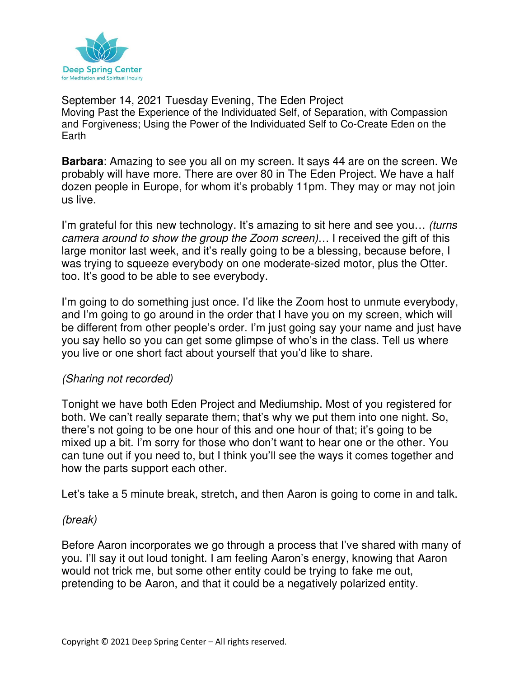

September 14, 2021 Tuesday Evening, The Eden Project Moving Past the Experience of the Individuated Self, of Separation, with Compassion and Forgiveness; Using the Power of the Individuated Self to Co-Create Eden on the Earth

**Barbara**: Amazing to see you all on my screen. It says 44 are on the screen. We probably will have more. There are over 80 in The Eden Project. We have a half dozen people in Europe, for whom it's probably 11pm. They may or may not join us live.

I'm grateful for this new technology. It's amazing to sit here and see you... *(turns* camera around to show the group the Zoom screen)… I received the gift of this large monitor last week, and it's really going to be a blessing, because before, I was trying to squeeze everybody on one moderate-sized motor, plus the Otter. too. It's good to be able to see everybody.

I'm going to do something just once. I'd like the Zoom host to unmute everybody, and I'm going to go around in the order that I have you on my screen, which will be different from other people's order. I'm just going say your name and just have you say hello so you can get some glimpse of who's in the class. Tell us where you live or one short fact about yourself that you'd like to share.

### (Sharing not recorded)

Tonight we have both Eden Project and Mediumship. Most of you registered for both. We can't really separate them; that's why we put them into one night. So, there's not going to be one hour of this and one hour of that; it's going to be mixed up a bit. I'm sorry for those who don't want to hear one or the other. You can tune out if you need to, but I think you'll see the ways it comes together and how the parts support each other.

Let's take a 5 minute break, stretch, and then Aaron is going to come in and talk.

### (break)

Before Aaron incorporates we go through a process that I've shared with many of you. I'll say it out loud tonight. I am feeling Aaron's energy, knowing that Aaron would not trick me, but some other entity could be trying to fake me out, pretending to be Aaron, and that it could be a negatively polarized entity.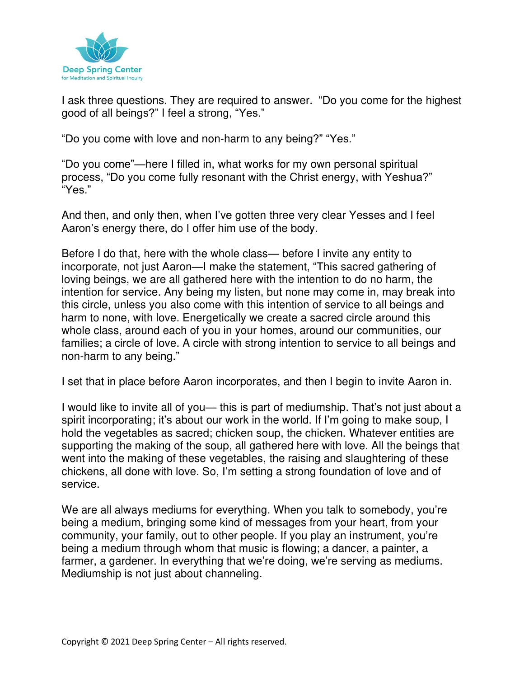

I ask three questions. They are required to answer. "Do you come for the highest good of all beings?" I feel a strong, "Yes."

"Do you come with love and non-harm to any being?" "Yes."

"Do you come"—here I filled in, what works for my own personal spiritual process, "Do you come fully resonant with the Christ energy, with Yeshua?" "Yes."

And then, and only then, when I've gotten three very clear Yesses and I feel Aaron's energy there, do I offer him use of the body.

Before I do that, here with the whole class— before I invite any entity to incorporate, not just Aaron—I make the statement, "This sacred gathering of loving beings, we are all gathered here with the intention to do no harm, the intention for service. Any being my listen, but none may come in, may break into this circle, unless you also come with this intention of service to all beings and harm to none, with love. Energetically we create a sacred circle around this whole class, around each of you in your homes, around our communities, our families; a circle of love. A circle with strong intention to service to all beings and non-harm to any being."

I set that in place before Aaron incorporates, and then I begin to invite Aaron in.

I would like to invite all of you— this is part of mediumship. That's not just about a spirit incorporating; it's about our work in the world. If I'm going to make soup, I hold the vegetables as sacred; chicken soup, the chicken. Whatever entities are supporting the making of the soup, all gathered here with love. All the beings that went into the making of these vegetables, the raising and slaughtering of these chickens, all done with love. So, I'm setting a strong foundation of love and of service.

We are all always mediums for everything. When you talk to somebody, you're being a medium, bringing some kind of messages from your heart, from your community, your family, out to other people. If you play an instrument, you're being a medium through whom that music is flowing; a dancer, a painter, a farmer, a gardener. In everything that we're doing, we're serving as mediums. Mediumship is not just about channeling.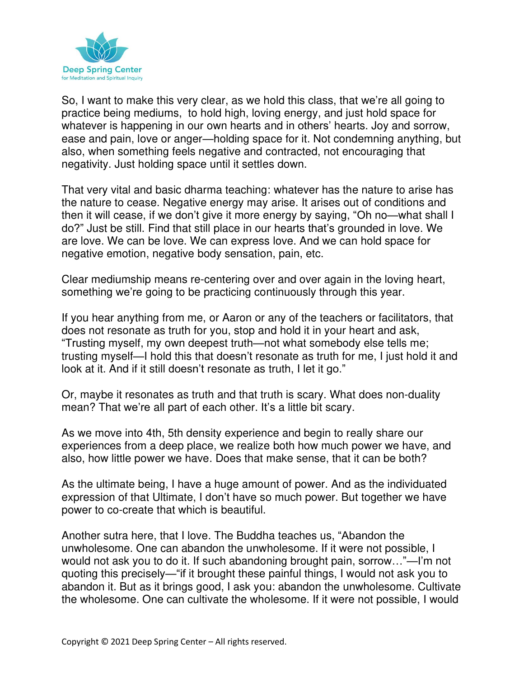

So, I want to make this very clear, as we hold this class, that we're all going to practice being mediums, to hold high, loving energy, and just hold space for whatever is happening in our own hearts and in others' hearts. Joy and sorrow, ease and pain, love or anger—holding space for it. Not condemning anything, but also, when something feels negative and contracted, not encouraging that negativity. Just holding space until it settles down.

That very vital and basic dharma teaching: whatever has the nature to arise has the nature to cease. Negative energy may arise. It arises out of conditions and then it will cease, if we don't give it more energy by saying, "Oh no—what shall I do?" Just be still. Find that still place in our hearts that's grounded in love. We are love. We can be love. We can express love. And we can hold space for negative emotion, negative body sensation, pain, etc.

Clear mediumship means re-centering over and over again in the loving heart, something we're going to be practicing continuously through this year.

If you hear anything from me, or Aaron or any of the teachers or facilitators, that does not resonate as truth for you, stop and hold it in your heart and ask, "Trusting myself, my own deepest truth—not what somebody else tells me; trusting myself—I hold this that doesn't resonate as truth for me, I just hold it and look at it. And if it still doesn't resonate as truth, I let it go."

Or, maybe it resonates as truth and that truth is scary. What does non-duality mean? That we're all part of each other. It's a little bit scary.

As we move into 4th, 5th density experience and begin to really share our experiences from a deep place, we realize both how much power we have, and also, how little power we have. Does that make sense, that it can be both?

As the ultimate being, I have a huge amount of power. And as the individuated expression of that Ultimate, I don't have so much power. But together we have power to co-create that which is beautiful.

Another sutra here, that I love. The Buddha teaches us, "Abandon the unwholesome. One can abandon the unwholesome. If it were not possible, I would not ask you to do it. If such abandoning brought pain, sorrow…"—I'm not quoting this precisely—"if it brought these painful things, I would not ask you to abandon it. But as it brings good, I ask you: abandon the unwholesome. Cultivate the wholesome. One can cultivate the wholesome. If it were not possible, I would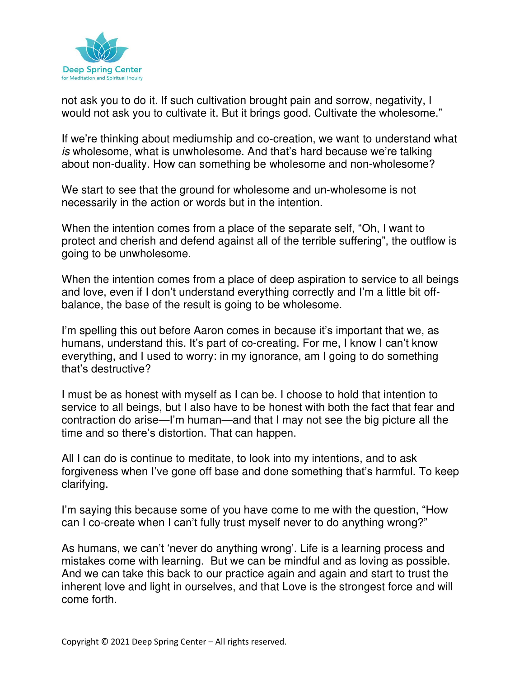

not ask you to do it. If such cultivation brought pain and sorrow, negativity, I would not ask you to cultivate it. But it brings good. Cultivate the wholesome."

If we're thinking about mediumship and co-creation, we want to understand what is wholesome, what is unwholesome. And that's hard because we're talking about non-duality. How can something be wholesome and non-wholesome?

We start to see that the ground for wholesome and un-wholesome is not necessarily in the action or words but in the intention.

When the intention comes from a place of the separate self, "Oh, I want to protect and cherish and defend against all of the terrible suffering", the outflow is going to be unwholesome.

When the intention comes from a place of deep aspiration to service to all beings and love, even if I don't understand everything correctly and I'm a little bit offbalance, the base of the result is going to be wholesome.

I'm spelling this out before Aaron comes in because it's important that we, as humans, understand this. It's part of co-creating. For me, I know I can't know everything, and I used to worry: in my ignorance, am I going to do something that's destructive?

I must be as honest with myself as I can be. I choose to hold that intention to service to all beings, but I also have to be honest with both the fact that fear and contraction do arise—I'm human—and that I may not see the big picture all the time and so there's distortion. That can happen.

All I can do is continue to meditate, to look into my intentions, and to ask forgiveness when I've gone off base and done something that's harmful. To keep clarifying.

I'm saying this because some of you have come to me with the question, "How can I co-create when I can't fully trust myself never to do anything wrong?"

As humans, we can't 'never do anything wrong'. Life is a learning process and mistakes come with learning. But we can be mindful and as loving as possible. And we can take this back to our practice again and again and start to trust the inherent love and light in ourselves, and that Love is the strongest force and will come forth.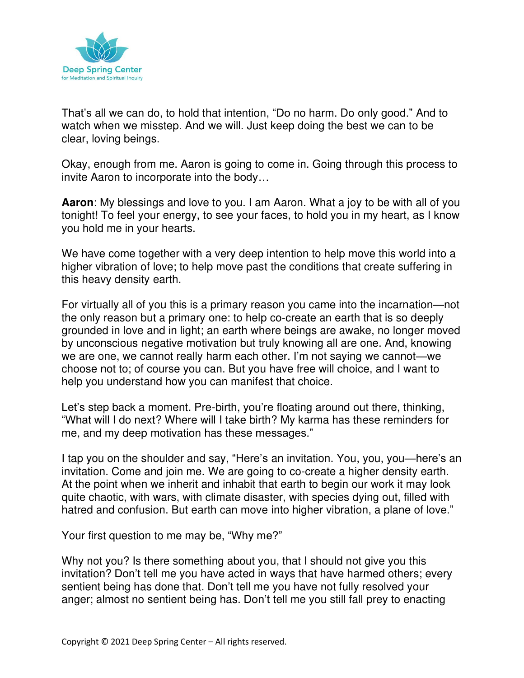

That's all we can do, to hold that intention, "Do no harm. Do only good." And to watch when we misstep. And we will. Just keep doing the best we can to be clear, loving beings.

Okay, enough from me. Aaron is going to come in. Going through this process to invite Aaron to incorporate into the body…

**Aaron**: My blessings and love to you. I am Aaron. What a joy to be with all of you tonight! To feel your energy, to see your faces, to hold you in my heart, as I know you hold me in your hearts.

We have come together with a very deep intention to help move this world into a higher vibration of love; to help move past the conditions that create suffering in this heavy density earth.

For virtually all of you this is a primary reason you came into the incarnation—not the only reason but a primary one: to help co-create an earth that is so deeply grounded in love and in light; an earth where beings are awake, no longer moved by unconscious negative motivation but truly knowing all are one. And, knowing we are one, we cannot really harm each other. I'm not saying we cannot—we choose not to; of course you can. But you have free will choice, and I want to help you understand how you can manifest that choice.

Let's step back a moment. Pre-birth, you're floating around out there, thinking, "What will I do next? Where will I take birth? My karma has these reminders for me, and my deep motivation has these messages."

I tap you on the shoulder and say, "Here's an invitation. You, you, you—here's an invitation. Come and join me. We are going to co-create a higher density earth. At the point when we inherit and inhabit that earth to begin our work it may look quite chaotic, with wars, with climate disaster, with species dying out, filled with hatred and confusion. But earth can move into higher vibration, a plane of love."

Your first question to me may be, "Why me?"

Why not you? Is there something about you, that I should not give you this invitation? Don't tell me you have acted in ways that have harmed others; every sentient being has done that. Don't tell me you have not fully resolved your anger; almost no sentient being has. Don't tell me you still fall prey to enacting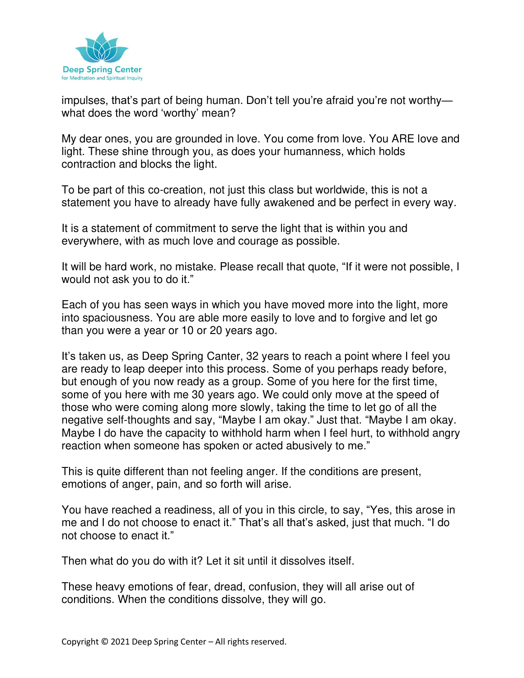

impulses, that's part of being human. Don't tell you're afraid you're not worthy what does the word 'worthy' mean?

My dear ones, you are grounded in love. You come from love. You ARE love and light. These shine through you, as does your humanness, which holds contraction and blocks the light.

To be part of this co-creation, not just this class but worldwide, this is not a statement you have to already have fully awakened and be perfect in every way.

It is a statement of commitment to serve the light that is within you and everywhere, with as much love and courage as possible.

It will be hard work, no mistake. Please recall that quote, "If it were not possible, I would not ask you to do it."

Each of you has seen ways in which you have moved more into the light, more into spaciousness. You are able more easily to love and to forgive and let go than you were a year or 10 or 20 years ago.

It's taken us, as Deep Spring Canter, 32 years to reach a point where I feel you are ready to leap deeper into this process. Some of you perhaps ready before, but enough of you now ready as a group. Some of you here for the first time, some of you here with me 30 years ago. We could only move at the speed of those who were coming along more slowly, taking the time to let go of all the negative self-thoughts and say, "Maybe I am okay." Just that. "Maybe I am okay. Maybe I do have the capacity to withhold harm when I feel hurt, to withhold angry reaction when someone has spoken or acted abusively to me."

This is quite different than not feeling anger. If the conditions are present, emotions of anger, pain, and so forth will arise.

You have reached a readiness, all of you in this circle, to say, "Yes, this arose in me and I do not choose to enact it." That's all that's asked, just that much. "I do not choose to enact it."

Then what do you do with it? Let it sit until it dissolves itself.

These heavy emotions of fear, dread, confusion, they will all arise out of conditions. When the conditions dissolve, they will go.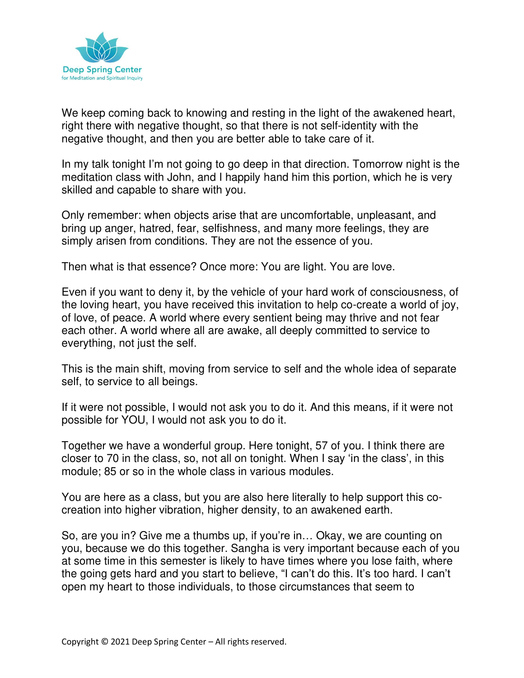

We keep coming back to knowing and resting in the light of the awakened heart, right there with negative thought, so that there is not self-identity with the negative thought, and then you are better able to take care of it.

In my talk tonight I'm not going to go deep in that direction. Tomorrow night is the meditation class with John, and I happily hand him this portion, which he is very skilled and capable to share with you.

Only remember: when objects arise that are uncomfortable, unpleasant, and bring up anger, hatred, fear, selfishness, and many more feelings, they are simply arisen from conditions. They are not the essence of you.

Then what is that essence? Once more: You are light. You are love.

Even if you want to deny it, by the vehicle of your hard work of consciousness, of the loving heart, you have received this invitation to help co-create a world of joy, of love, of peace. A world where every sentient being may thrive and not fear each other. A world where all are awake, all deeply committed to service to everything, not just the self.

This is the main shift, moving from service to self and the whole idea of separate self, to service to all beings.

If it were not possible, I would not ask you to do it. And this means, if it were not possible for YOU, I would not ask you to do it.

Together we have a wonderful group. Here tonight, 57 of you. I think there are closer to 70 in the class, so, not all on tonight. When I say 'in the class', in this module; 85 or so in the whole class in various modules.

You are here as a class, but you are also here literally to help support this cocreation into higher vibration, higher density, to an awakened earth.

So, are you in? Give me a thumbs up, if you're in… Okay, we are counting on you, because we do this together. Sangha is very important because each of you at some time in this semester is likely to have times where you lose faith, where the going gets hard and you start to believe, "I can't do this. It's too hard. I can't open my heart to those individuals, to those circumstances that seem to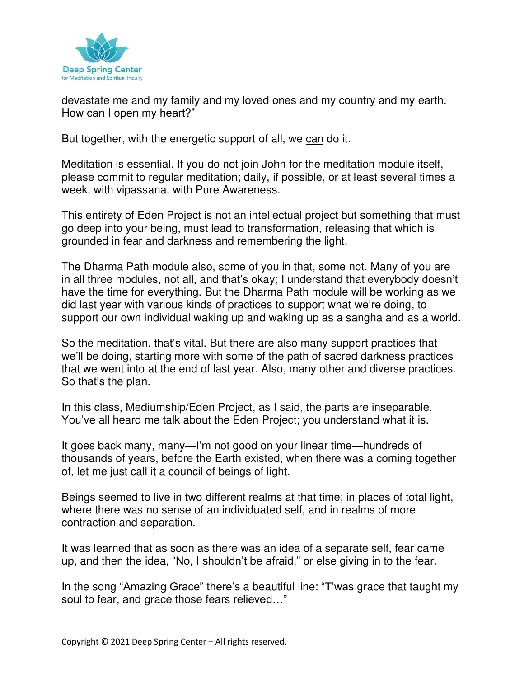

devastate me and my family and my loved ones and my country and my earth. How can I open my heart?"

But together, with the energetic support of all, we can do it.

Meditation is essential. If you do not join John for the meditation module itself, please commit to regular meditation; daily, if possible, or at least several times a week, with vipassana, with Pure Awareness.

This entirety of Eden Project is not an intellectual project but something that must go deep into your being, must lead to transformation, releasing that which is grounded in fear and darkness and remembering the light.

The Dharma Path module also, some of you in that, some not. Many of you are in all three modules, not all, and that's okay; I understand that everybody doesn't have the time for everything. But the Dharma Path module will be working as we did last year with various kinds of practices to support what we're doing, to support our own individual waking up and waking up as a sangha and as a world.

So the meditation, that's vital. But there are also many support practices that we'll be doing, starting more with some of the path of sacred darkness practices that we went into at the end of last year. Also, many other and diverse practices. So that's the plan.

In this class, Mediumship/Eden Project, as I said, the parts are inseparable. You've all heard me talk about the Eden Project; you understand what it is.

It goes back many, many—I'm not good on your linear time—hundreds of thousands of years, before the Earth existed, when there was a coming together of, let me just call it a council of beings of light.

Beings seemed to live in two different realms at that time; in places of total light, where there was no sense of an individuated self, and in realms of more contraction and separation.

It was learned that as soon as there was an idea of a separate self, fear came up, and then the idea, "No, I shouldn't be afraid," or else giving in to the fear.

In the song "Amazing Grace" there's a beautiful line: "T'was grace that taught my soul to fear, and grace those fears relieved…"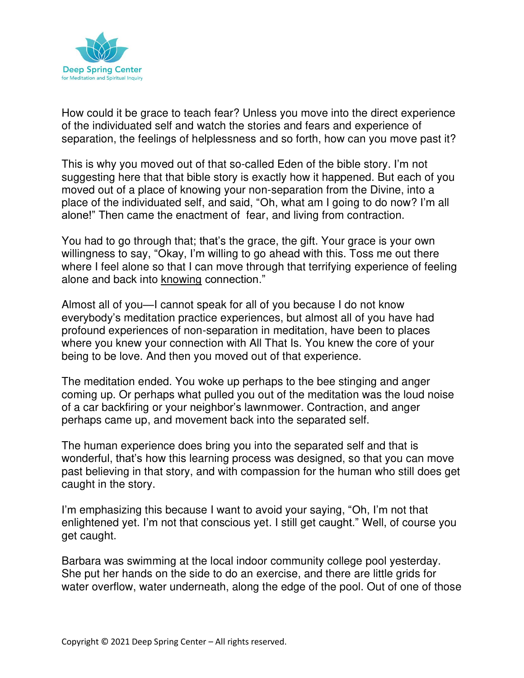

How could it be grace to teach fear? Unless you move into the direct experience of the individuated self and watch the stories and fears and experience of separation, the feelings of helplessness and so forth, how can you move past it?

This is why you moved out of that so-called Eden of the bible story. I'm not suggesting here that that bible story is exactly how it happened. But each of you moved out of a place of knowing your non-separation from the Divine, into a place of the individuated self, and said, "Oh, what am I going to do now? I'm all alone!" Then came the enactment of fear, and living from contraction.

You had to go through that; that's the grace, the gift. Your grace is your own willingness to say, "Okay, I'm willing to go ahead with this. Toss me out there where I feel alone so that I can move through that terrifying experience of feeling alone and back into knowing connection."

Almost all of you—I cannot speak for all of you because I do not know everybody's meditation practice experiences, but almost all of you have had profound experiences of non-separation in meditation, have been to places where you knew your connection with All That Is. You knew the core of your being to be love. And then you moved out of that experience.

The meditation ended. You woke up perhaps to the bee stinging and anger coming up. Or perhaps what pulled you out of the meditation was the loud noise of a car backfiring or your neighbor's lawnmower. Contraction, and anger perhaps came up, and movement back into the separated self.

The human experience does bring you into the separated self and that is wonderful, that's how this learning process was designed, so that you can move past believing in that story, and with compassion for the human who still does get caught in the story.

I'm emphasizing this because I want to avoid your saying, "Oh, I'm not that enlightened yet. I'm not that conscious yet. I still get caught." Well, of course you get caught.

Barbara was swimming at the local indoor community college pool yesterday. She put her hands on the side to do an exercise, and there are little grids for water overflow, water underneath, along the edge of the pool. Out of one of those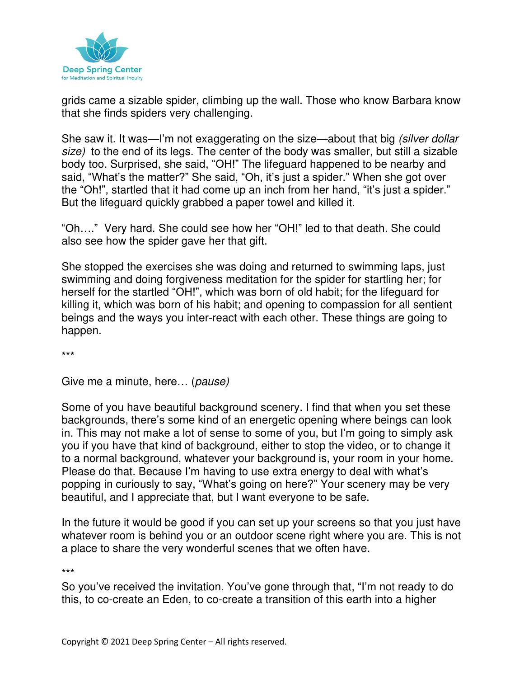

grids came a sizable spider, climbing up the wall. Those who know Barbara know that she finds spiders very challenging.

She saw it. It was—I'm not exaggerating on the size—about that big (silver dollar size) to the end of its legs. The center of the body was smaller, but still a sizable body too. Surprised, she said, "OH!" The lifeguard happened to be nearby and said, "What's the matter?" She said, "Oh, it's just a spider." When she got over the "Oh!", startled that it had come up an inch from her hand, "it's just a spider." But the lifeguard quickly grabbed a paper towel and killed it.

"Oh…." Very hard. She could see how her "OH!" led to that death. She could also see how the spider gave her that gift.

She stopped the exercises she was doing and returned to swimming laps, just swimming and doing forgiveness meditation for the spider for startling her; for herself for the startled "OH!", which was born of old habit; for the lifeguard for killing it, which was born of his habit; and opening to compassion for all sentient beings and the ways you inter-react with each other. These things are going to happen.

\*\*\*

Give me a minute, here… (pause)

Some of you have beautiful background scenery. I find that when you set these backgrounds, there's some kind of an energetic opening where beings can look in. This may not make a lot of sense to some of you, but I'm going to simply ask you if you have that kind of background, either to stop the video, or to change it to a normal background, whatever your background is, your room in your home. Please do that. Because I'm having to use extra energy to deal with what's popping in curiously to say, "What's going on here?" Your scenery may be very beautiful, and I appreciate that, but I want everyone to be safe.

In the future it would be good if you can set up your screens so that you just have whatever room is behind you or an outdoor scene right where you are. This is not a place to share the very wonderful scenes that we often have.

\*\*\*

So you've received the invitation. You've gone through that, "I'm not ready to do this, to co-create an Eden, to co-create a transition of this earth into a higher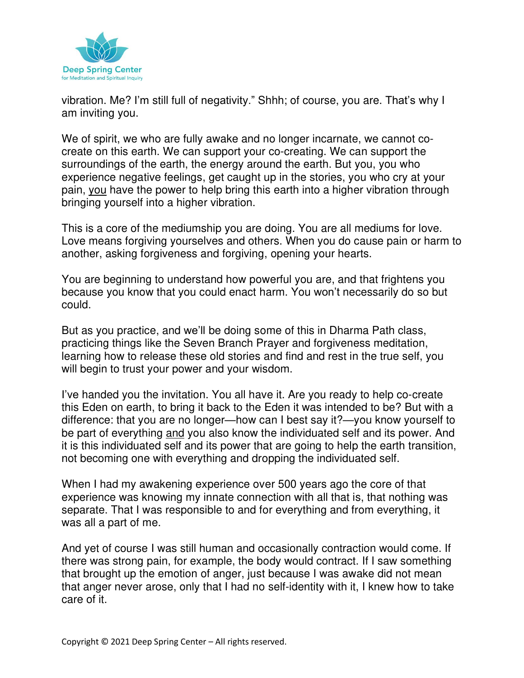

vibration. Me? I'm still full of negativity." Shhh; of course, you are. That's why I am inviting you.

We of spirit, we who are fully awake and no longer incarnate, we cannot cocreate on this earth. We can support your co-creating. We can support the surroundings of the earth, the energy around the earth. But you, you who experience negative feelings, get caught up in the stories, you who cry at your pain, you have the power to help bring this earth into a higher vibration through bringing yourself into a higher vibration.

This is a core of the mediumship you are doing. You are all mediums for love. Love means forgiving yourselves and others. When you do cause pain or harm to another, asking forgiveness and forgiving, opening your hearts.

You are beginning to understand how powerful you are, and that frightens you because you know that you could enact harm. You won't necessarily do so but could.

But as you practice, and we'll be doing some of this in Dharma Path class, practicing things like the Seven Branch Prayer and forgiveness meditation, learning how to release these old stories and find and rest in the true self, you will begin to trust your power and your wisdom.

I've handed you the invitation. You all have it. Are you ready to help co-create this Eden on earth, to bring it back to the Eden it was intended to be? But with a difference: that you are no longer—how can I best say it?—you know yourself to be part of everything and you also know the individuated self and its power. And it is this individuated self and its power that are going to help the earth transition, not becoming one with everything and dropping the individuated self.

When I had my awakening experience over 500 years ago the core of that experience was knowing my innate connection with all that is, that nothing was separate. That I was responsible to and for everything and from everything, it was all a part of me.

And yet of course I was still human and occasionally contraction would come. If there was strong pain, for example, the body would contract. If I saw something that brought up the emotion of anger, just because I was awake did not mean that anger never arose, only that I had no self-identity with it, I knew how to take care of it.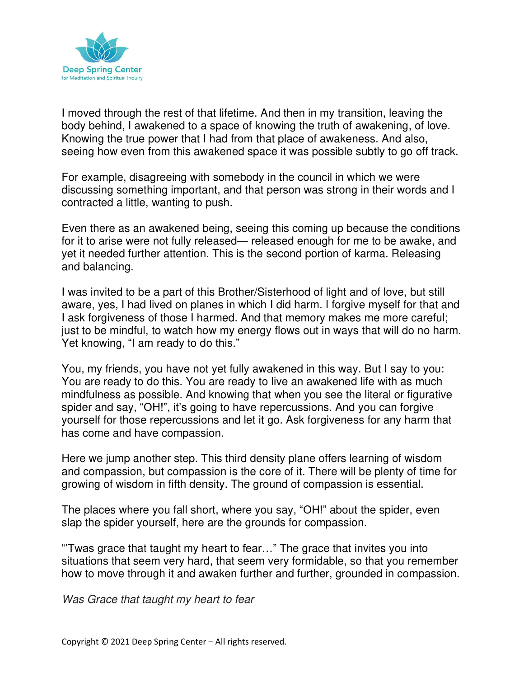

I moved through the rest of that lifetime. And then in my transition, leaving the body behind, I awakened to a space of knowing the truth of awakening, of love. Knowing the true power that I had from that place of awakeness. And also, seeing how even from this awakened space it was possible subtly to go off track.

For example, disagreeing with somebody in the council in which we were discussing something important, and that person was strong in their words and I contracted a little, wanting to push.

Even there as an awakened being, seeing this coming up because the conditions for it to arise were not fully released— released enough for me to be awake, and yet it needed further attention. This is the second portion of karma. Releasing and balancing.

I was invited to be a part of this Brother/Sisterhood of light and of love, but still aware, yes, I had lived on planes in which I did harm. I forgive myself for that and I ask forgiveness of those I harmed. And that memory makes me more careful; just to be mindful, to watch how my energy flows out in ways that will do no harm. Yet knowing, "I am ready to do this."

You, my friends, you have not yet fully awakened in this way. But I say to you: You are ready to do this. You are ready to live an awakened life with as much mindfulness as possible. And knowing that when you see the literal or figurative spider and say, "OH!", it's going to have repercussions. And you can forgive yourself for those repercussions and let it go. Ask forgiveness for any harm that has come and have compassion.

Here we jump another step. This third density plane offers learning of wisdom and compassion, but compassion is the core of it. There will be plenty of time for growing of wisdom in fifth density. The ground of compassion is essential.

The places where you fall short, where you say, "OH!" about the spider, even slap the spider yourself, here are the grounds for compassion.

"'Twas grace that taught my heart to fear…" The grace that invites you into situations that seem very hard, that seem very formidable, so that you remember how to move through it and awaken further and further, grounded in compassion.

Was Grace that taught my heart to fear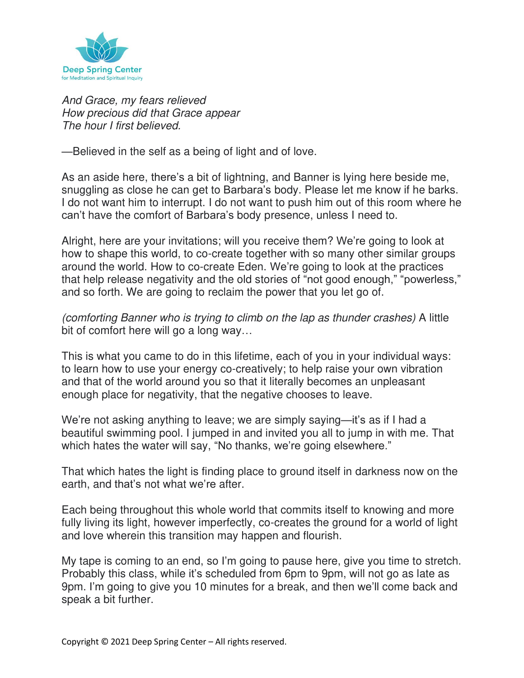

And Grace, my fears relieved How precious did that Grace appear The hour I first believed.

—Believed in the self as a being of light and of love.

As an aside here, there's a bit of lightning, and Banner is lying here beside me, snuggling as close he can get to Barbara's body. Please let me know if he barks. I do not want him to interrupt. I do not want to push him out of this room where he can't have the comfort of Barbara's body presence, unless I need to.

Alright, here are your invitations; will you receive them? We're going to look at how to shape this world, to co-create together with so many other similar groups around the world. How to co-create Eden. We're going to look at the practices that help release negativity and the old stories of "not good enough," "powerless," and so forth. We are going to reclaim the power that you let go of.

(comforting Banner who is trying to climb on the lap as thunder crashes) A little bit of comfort here will go a long way...

This is what you came to do in this lifetime, each of you in your individual ways: to learn how to use your energy co-creatively; to help raise your own vibration and that of the world around you so that it literally becomes an unpleasant enough place for negativity, that the negative chooses to leave.

We're not asking anything to leave; we are simply saying—it's as if I had a beautiful swimming pool. I jumped in and invited you all to jump in with me. That which hates the water will say, "No thanks, we're going elsewhere."

That which hates the light is finding place to ground itself in darkness now on the earth, and that's not what we're after.

Each being throughout this whole world that commits itself to knowing and more fully living its light, however imperfectly, co-creates the ground for a world of light and love wherein this transition may happen and flourish.

My tape is coming to an end, so I'm going to pause here, give you time to stretch. Probably this class, while it's scheduled from 6pm to 9pm, will not go as late as 9pm. I'm going to give you 10 minutes for a break, and then we'll come back and speak a bit further.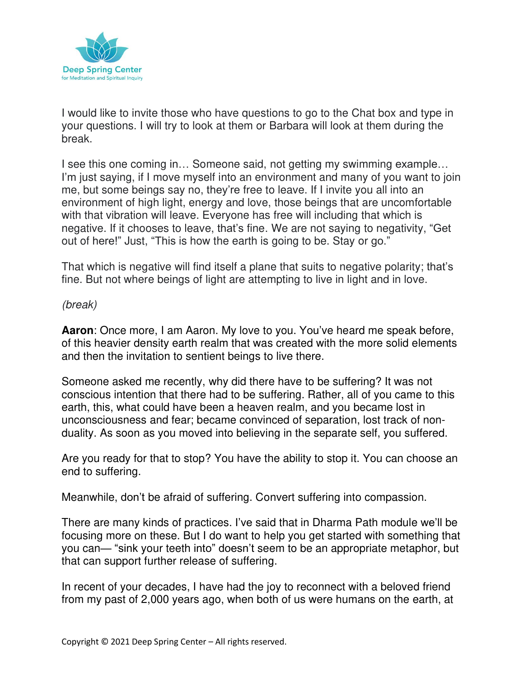

I would like to invite those who have questions to go to the Chat box and type in your questions. I will try to look at them or Barbara will look at them during the break.

I see this one coming in… Someone said, not getting my swimming example… I'm just saying, if I move myself into an environment and many of you want to join me, but some beings say no, they're free to leave. If I invite you all into an environment of high light, energy and love, those beings that are uncomfortable with that vibration will leave. Everyone has free will including that which is negative. If it chooses to leave, that's fine. We are not saying to negativity, "Get out of here!" Just, "This is how the earth is going to be. Stay or go."

That which is negative will find itself a plane that suits to negative polarity; that's fine. But not where beings of light are attempting to live in light and in love.

# (break)

**Aaron**: Once more, I am Aaron. My love to you. You've heard me speak before, of this heavier density earth realm that was created with the more solid elements and then the invitation to sentient beings to live there.

Someone asked me recently, why did there have to be suffering? It was not conscious intention that there had to be suffering. Rather, all of you came to this earth, this, what could have been a heaven realm, and you became lost in unconsciousness and fear; became convinced of separation, lost track of nonduality. As soon as you moved into believing in the separate self, you suffered.

Are you ready for that to stop? You have the ability to stop it. You can choose an end to suffering.

Meanwhile, don't be afraid of suffering. Convert suffering into compassion.

There are many kinds of practices. I've said that in Dharma Path module we'll be focusing more on these. But I do want to help you get started with something that you can— "sink your teeth into" doesn't seem to be an appropriate metaphor, but that can support further release of suffering.

In recent of your decades, I have had the joy to reconnect with a beloved friend from my past of 2,000 years ago, when both of us were humans on the earth, at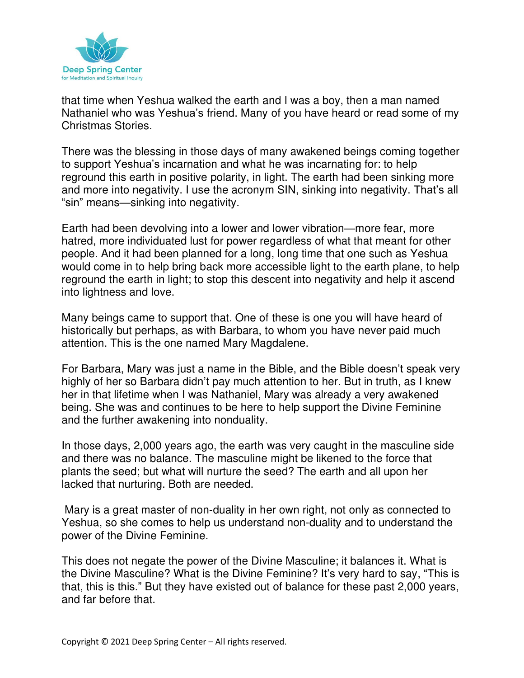

that time when Yeshua walked the earth and I was a boy, then a man named Nathaniel who was Yeshua's friend. Many of you have heard or read some of my Christmas Stories.

There was the blessing in those days of many awakened beings coming together to support Yeshua's incarnation and what he was incarnating for: to help reground this earth in positive polarity, in light. The earth had been sinking more and more into negativity. I use the acronym SIN, sinking into negativity. That's all "sin" means—sinking into negativity.

Earth had been devolving into a lower and lower vibration—more fear, more hatred, more individuated lust for power regardless of what that meant for other people. And it had been planned for a long, long time that one such as Yeshua would come in to help bring back more accessible light to the earth plane, to help reground the earth in light; to stop this descent into negativity and help it ascend into lightness and love.

Many beings came to support that. One of these is one you will have heard of historically but perhaps, as with Barbara, to whom you have never paid much attention. This is the one named Mary Magdalene.

For Barbara, Mary was just a name in the Bible, and the Bible doesn't speak very highly of her so Barbara didn't pay much attention to her. But in truth, as I knew her in that lifetime when I was Nathaniel, Mary was already a very awakened being. She was and continues to be here to help support the Divine Feminine and the further awakening into nonduality.

In those days, 2,000 years ago, the earth was very caught in the masculine side and there was no balance. The masculine might be likened to the force that plants the seed; but what will nurture the seed? The earth and all upon her lacked that nurturing. Both are needed.

 Mary is a great master of non-duality in her own right, not only as connected to Yeshua, so she comes to help us understand non-duality and to understand the power of the Divine Feminine.

This does not negate the power of the Divine Masculine; it balances it. What is the Divine Masculine? What is the Divine Feminine? It's very hard to say, "This is that, this is this." But they have existed out of balance for these past 2,000 years, and far before that.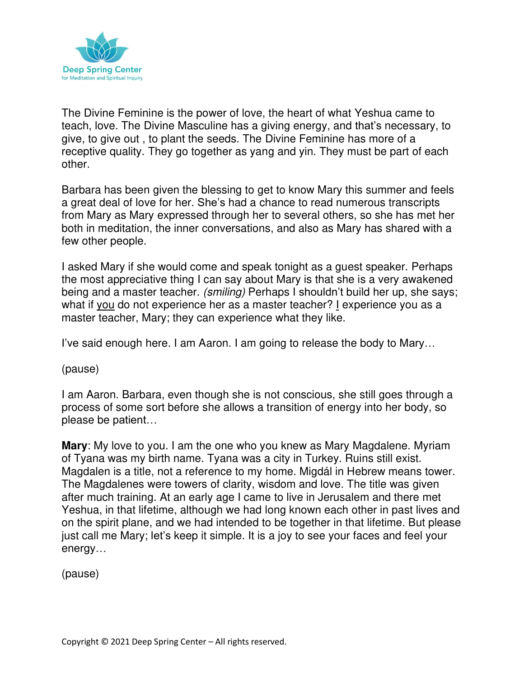

The Divine Feminine is the power of love, the heart of what Yeshua came to teach, love. The Divine Masculine has a giving energy, and that's necessary, to give, to give out , to plant the seeds. The Divine Feminine has more of a receptive quality. They go together as yang and yin. They must be part of each other.

Barbara has been given the blessing to get to know Mary this summer and feels a great deal of love for her. She's had a chance to read numerous transcripts from Mary as Mary expressed through her to several others, so she has met her both in meditation, the inner conversations, and also as Mary has shared with a few other people.

I asked Mary if she would come and speak tonight as a guest speaker. Perhaps the most appreciative thing I can say about Mary is that she is a very awakened being and a master teacher. (smiling) Perhaps I shouldn't build her up, she says; what if you do not experience her as a master teacher? I experience you as a master teacher, Mary; they can experience what they like.

I've said enough here. I am Aaron. I am going to release the body to Mary…

(pause)

I am Aaron. Barbara, even though she is not conscious, she still goes through a process of some sort before she allows a transition of energy into her body, so please be patient…

**Mary**: My love to you. I am the one who you knew as Mary Magdalene. Myriam of Tyana was my birth name. Tyana was a city in Turkey. Ruins still exist. Magdalen is a title, not a reference to my home. Migdál in Hebrew means tower. The Magdalenes were towers of clarity, wisdom and love. The title was given after much training. At an early age I came to live in Jerusalem and there met Yeshua, in that lifetime, although we had long known each other in past lives and on the spirit plane, and we had intended to be together in that lifetime. But please just call me Mary; let's keep it simple. It is a joy to see your faces and feel your energy…

(pause)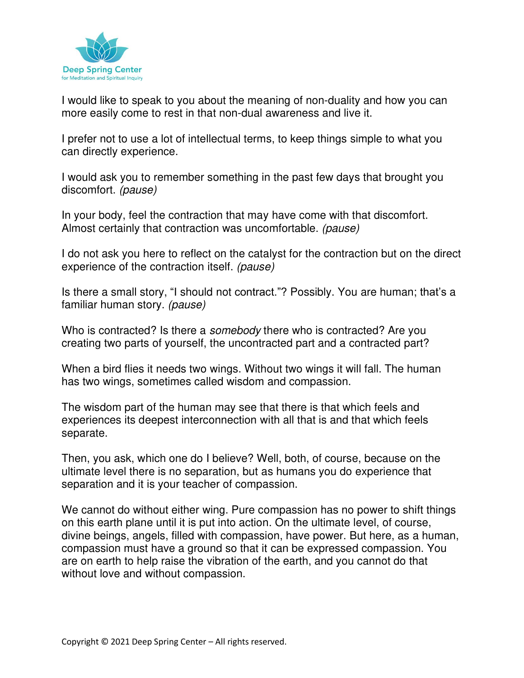

I would like to speak to you about the meaning of non-duality and how you can more easily come to rest in that non-dual awareness and live it.

I prefer not to use a lot of intellectual terms, to keep things simple to what you can directly experience.

I would ask you to remember something in the past few days that brought you discomfort. (pause)

In your body, feel the contraction that may have come with that discomfort. Almost certainly that contraction was uncomfortable. (pause)

I do not ask you here to reflect on the catalyst for the contraction but on the direct experience of the contraction itself. (pause)

Is there a small story, "I should not contract."? Possibly. You are human; that's a familiar human story. (pause)

Who is contracted? Is there a *somebody* there who is contracted? Are you creating two parts of yourself, the uncontracted part and a contracted part?

When a bird flies it needs two wings. Without two wings it will fall. The human has two wings, sometimes called wisdom and compassion.

The wisdom part of the human may see that there is that which feels and experiences its deepest interconnection with all that is and that which feels separate.

Then, you ask, which one do I believe? Well, both, of course, because on the ultimate level there is no separation, but as humans you do experience that separation and it is your teacher of compassion.

We cannot do without either wing. Pure compassion has no power to shift things on this earth plane until it is put into action. On the ultimate level, of course, divine beings, angels, filled with compassion, have power. But here, as a human, compassion must have a ground so that it can be expressed compassion. You are on earth to help raise the vibration of the earth, and you cannot do that without love and without compassion.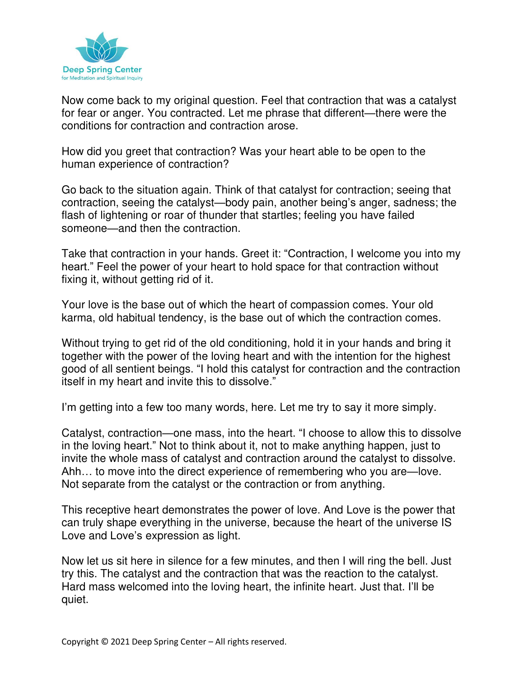

Now come back to my original question. Feel that contraction that was a catalyst for fear or anger. You contracted. Let me phrase that different—there were the conditions for contraction and contraction arose.

How did you greet that contraction? Was your heart able to be open to the human experience of contraction?

Go back to the situation again. Think of that catalyst for contraction; seeing that contraction, seeing the catalyst—body pain, another being's anger, sadness; the flash of lightening or roar of thunder that startles; feeling you have failed someone—and then the contraction.

Take that contraction in your hands. Greet it: "Contraction, I welcome you into my heart." Feel the power of your heart to hold space for that contraction without fixing it, without getting rid of it.

Your love is the base out of which the heart of compassion comes. Your old karma, old habitual tendency, is the base out of which the contraction comes.

Without trying to get rid of the old conditioning, hold it in your hands and bring it together with the power of the loving heart and with the intention for the highest good of all sentient beings. "I hold this catalyst for contraction and the contraction itself in my heart and invite this to dissolve."

I'm getting into a few too many words, here. Let me try to say it more simply.

Catalyst, contraction—one mass, into the heart. "I choose to allow this to dissolve in the loving heart." Not to think about it, not to make anything happen, just to invite the whole mass of catalyst and contraction around the catalyst to dissolve. Ahh… to move into the direct experience of remembering who you are—love. Not separate from the catalyst or the contraction or from anything.

This receptive heart demonstrates the power of love. And Love is the power that can truly shape everything in the universe, because the heart of the universe IS Love and Love's expression as light.

Now let us sit here in silence for a few minutes, and then I will ring the bell. Just try this. The catalyst and the contraction that was the reaction to the catalyst. Hard mass welcomed into the loving heart, the infinite heart. Just that. I'll be quiet.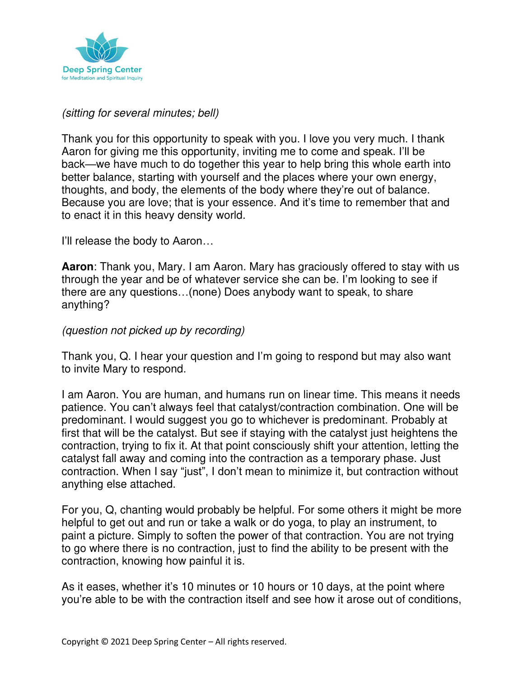

## (sitting for several minutes; bell)

Thank you for this opportunity to speak with you. I love you very much. I thank Aaron for giving me this opportunity, inviting me to come and speak. I'll be back—we have much to do together this year to help bring this whole earth into better balance, starting with yourself and the places where your own energy, thoughts, and body, the elements of the body where they're out of balance. Because you are love; that is your essence. And it's time to remember that and to enact it in this heavy density world.

I'll release the body to Aaron…

**Aaron**: Thank you, Mary. I am Aaron. Mary has graciously offered to stay with us through the year and be of whatever service she can be. I'm looking to see if there are any questions…(none) Does anybody want to speak, to share anything?

### (question not picked up by recording)

Thank you, Q. I hear your question and I'm going to respond but may also want to invite Mary to respond.

I am Aaron. You are human, and humans run on linear time. This means it needs patience. You can't always feel that catalyst/contraction combination. One will be predominant. I would suggest you go to whichever is predominant. Probably at first that will be the catalyst. But see if staying with the catalyst just heightens the contraction, trying to fix it. At that point consciously shift your attention, letting the catalyst fall away and coming into the contraction as a temporary phase. Just contraction. When I say "just", I don't mean to minimize it, but contraction without anything else attached.

For you, Q, chanting would probably be helpful. For some others it might be more helpful to get out and run or take a walk or do yoga, to play an instrument, to paint a picture. Simply to soften the power of that contraction. You are not trying to go where there is no contraction, just to find the ability to be present with the contraction, knowing how painful it is.

As it eases, whether it's 10 minutes or 10 hours or 10 days, at the point where you're able to be with the contraction itself and see how it arose out of conditions,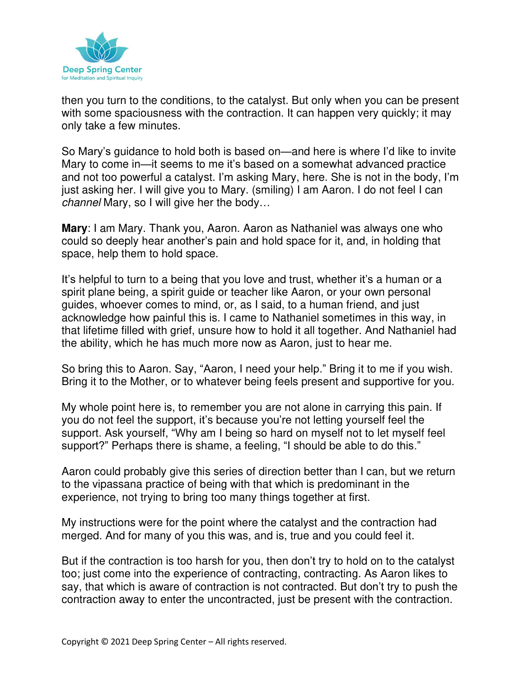

then you turn to the conditions, to the catalyst. But only when you can be present with some spaciousness with the contraction. It can happen very quickly; it may only take a few minutes.

So Mary's guidance to hold both is based on—and here is where I'd like to invite Mary to come in—it seems to me it's based on a somewhat advanced practice and not too powerful a catalyst. I'm asking Mary, here. She is not in the body, I'm just asking her. I will give you to Mary. (smiling) I am Aaron. I do not feel I can channel Mary, so I will give her the body…

**Mary**: I am Mary. Thank you, Aaron. Aaron as Nathaniel was always one who could so deeply hear another's pain and hold space for it, and, in holding that space, help them to hold space.

It's helpful to turn to a being that you love and trust, whether it's a human or a spirit plane being, a spirit guide or teacher like Aaron, or your own personal guides, whoever comes to mind, or, as I said, to a human friend, and just acknowledge how painful this is. I came to Nathaniel sometimes in this way, in that lifetime filled with grief, unsure how to hold it all together. And Nathaniel had the ability, which he has much more now as Aaron, just to hear me.

So bring this to Aaron. Say, "Aaron, I need your help." Bring it to me if you wish. Bring it to the Mother, or to whatever being feels present and supportive for you.

My whole point here is, to remember you are not alone in carrying this pain. If you do not feel the support, it's because you're not letting yourself feel the support. Ask yourself, "Why am I being so hard on myself not to let myself feel support?" Perhaps there is shame, a feeling, "I should be able to do this."

Aaron could probably give this series of direction better than I can, but we return to the vipassana practice of being with that which is predominant in the experience, not trying to bring too many things together at first.

My instructions were for the point where the catalyst and the contraction had merged. And for many of you this was, and is, true and you could feel it.

But if the contraction is too harsh for you, then don't try to hold on to the catalyst too; just come into the experience of contracting, contracting. As Aaron likes to say, that which is aware of contraction is not contracted. But don't try to push the contraction away to enter the uncontracted, just be present with the contraction.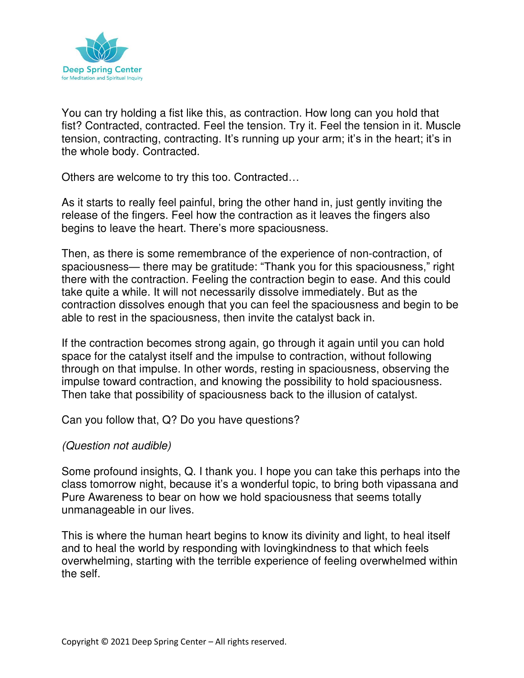

You can try holding a fist like this, as contraction. How long can you hold that fist? Contracted, contracted. Feel the tension. Try it. Feel the tension in it. Muscle tension, contracting, contracting. It's running up your arm; it's in the heart; it's in the whole body. Contracted.

Others are welcome to try this too. Contracted…

As it starts to really feel painful, bring the other hand in, just gently inviting the release of the fingers. Feel how the contraction as it leaves the fingers also begins to leave the heart. There's more spaciousness.

Then, as there is some remembrance of the experience of non-contraction, of spaciousness— there may be gratitude: "Thank you for this spaciousness," right there with the contraction. Feeling the contraction begin to ease. And this could take quite a while. It will not necessarily dissolve immediately. But as the contraction dissolves enough that you can feel the spaciousness and begin to be able to rest in the spaciousness, then invite the catalyst back in.

If the contraction becomes strong again, go through it again until you can hold space for the catalyst itself and the impulse to contraction, without following through on that impulse. In other words, resting in spaciousness, observing the impulse toward contraction, and knowing the possibility to hold spaciousness. Then take that possibility of spaciousness back to the illusion of catalyst.

Can you follow that, Q? Do you have questions?

### (Question not audible)

Some profound insights, Q. I thank you. I hope you can take this perhaps into the class tomorrow night, because it's a wonderful topic, to bring both vipassana and Pure Awareness to bear on how we hold spaciousness that seems totally unmanageable in our lives.

This is where the human heart begins to know its divinity and light, to heal itself and to heal the world by responding with lovingkindness to that which feels overwhelming, starting with the terrible experience of feeling overwhelmed within the self.